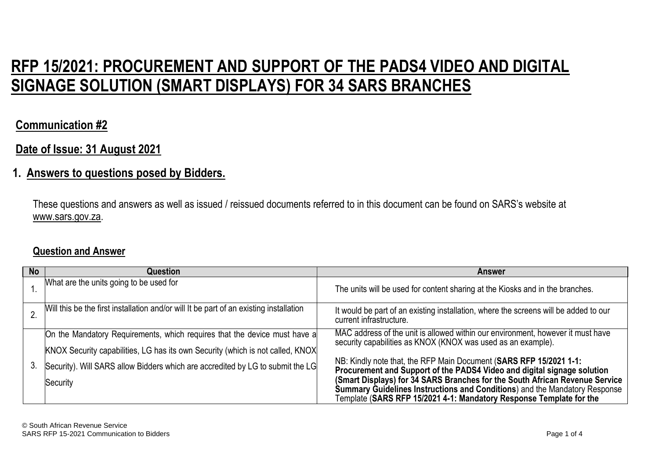# **RFP 15/2021: PROCUREMENT AND SUPPORT OF THE PADS4 VIDEO AND DIGITAL SIGNAGE SOLUTION (SMART DISPLAYS) FOR 34 SARS BRANCHES**

## **Communication #2**

## **Date of Issue: 31 August 2021**

#### **1. Answers to questions posed by Bidders.**

These questions and answers as well as issued / reissued documents referred to in this document can be found on SARS's website at www.sars.gov.za.

#### **Question and Answer**

| <b>No</b> | Question                                                                               | <b>Answer</b>                                                                                                                                             |
|-----------|----------------------------------------------------------------------------------------|-----------------------------------------------------------------------------------------------------------------------------------------------------------|
|           | What are the units going to be used for                                                | The units will be used for content sharing at the Kiosks and in the branches.                                                                             |
|           | Will this be the first installation and/or will It be part of an existing installation | It would be part of an existing installation, where the screens will be added to our<br>current infrastructure.                                           |
| 3.        | On the Mandatory Requirements, which requires that the device must have a              | MAC address of the unit is allowed within our environment, however it must have<br>security capabilities as KNOX (KNOX was used as an example).           |
|           | KNOX Security capabilities, LG has its own Security (which is not called, KNOX         |                                                                                                                                                           |
|           | Security). Will SARS allow Bidders which are accredited by LG to submit the LG         | NB: Kindly note that, the RFP Main Document (SARS RFP 15/2021 1-1:<br>Procurement and Support of the PADS4 Video and digital signage solution             |
|           | Security                                                                               | (Smart Displays) for 34 SARS Branches for the South African Revenue Service<br>Summary Guidelines Instructions and Conditions) and the Mandatory Response |
|           |                                                                                        | Template (SARS RFP 15/2021 4-1: Mandatory Response Template for the                                                                                       |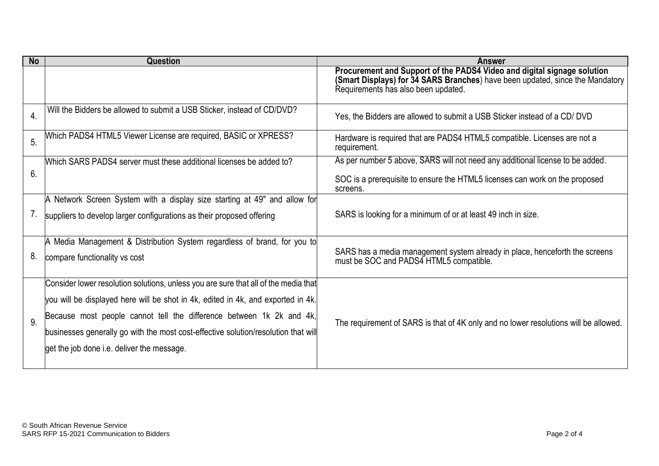| <b>No</b>        | Question                                                                                                                                                                                                                                                                                                                                                                            | <b>Answer</b>                                                                                                                                                                                   |
|------------------|-------------------------------------------------------------------------------------------------------------------------------------------------------------------------------------------------------------------------------------------------------------------------------------------------------------------------------------------------------------------------------------|-------------------------------------------------------------------------------------------------------------------------------------------------------------------------------------------------|
|                  |                                                                                                                                                                                                                                                                                                                                                                                     | Procurement and Support of the PADS4 Video and digital signage solution<br>(Smart Displays) for 34 SARS Branches) have been updated, since the Mandatory<br>Requirements has also been updated. |
| $\overline{4}$ . | Will the Bidders be allowed to submit a USB Sticker, instead of CD/DVD?                                                                                                                                                                                                                                                                                                             | Yes, the Bidders are allowed to submit a USB Sticker instead of a CD/DVD                                                                                                                        |
| 5.               | Which PADS4 HTML5 Viewer License are required, BASIC or XPRESS?                                                                                                                                                                                                                                                                                                                     | Hardware is required that are PADS4 HTML5 compatible. Licenses are not a<br>requirement.                                                                                                        |
| 6.               | Which SARS PADS4 server must these additional licenses be added to?                                                                                                                                                                                                                                                                                                                 | As per number 5 above, SARS will not need any additional license to be added.                                                                                                                   |
|                  |                                                                                                                                                                                                                                                                                                                                                                                     | SOC is a prerequisite to ensure the HTML5 licenses can work on the proposed<br>screens.                                                                                                         |
|                  | A Network Screen System with a display size starting at 49" and allow for                                                                                                                                                                                                                                                                                                           |                                                                                                                                                                                                 |
| 7.               | suppliers to develop larger configurations as their proposed offering                                                                                                                                                                                                                                                                                                               | SARS is looking for a minimum of or at least 49 inch in size.                                                                                                                                   |
| 8.               | A Media Management & Distribution System regardless of brand, for you to<br>compare functionality vs cost                                                                                                                                                                                                                                                                           | SARS has a media management system already in place, henceforth the screens<br>must be SOC and PADS4 HTML5 compatible.                                                                          |
| 9.               | Consider lower resolution solutions, unless you are sure that all of the media that<br>you will be displayed here will be shot in 4k, edited in 4k, and exported in 4k.<br>Because most people cannot tell the difference between 1k 2k and 4k,<br>businesses generally go with the most cost-effective solution/resolution that will<br>get the job done i.e. deliver the message. | The requirement of SARS is that of 4K only and no lower resolutions will be allowed.                                                                                                            |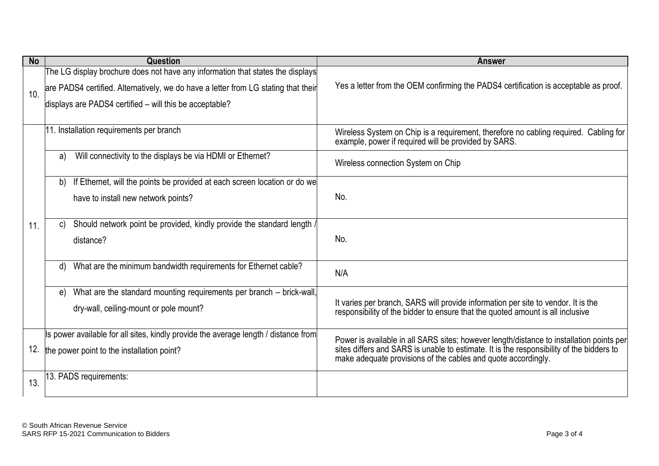| <b>No</b> | <b>Question</b>                                                                     | <b>Answer</b>                                                                                                                                                       |
|-----------|-------------------------------------------------------------------------------------|---------------------------------------------------------------------------------------------------------------------------------------------------------------------|
| 10.       | The LG display brochure does not have any information that states the displays      |                                                                                                                                                                     |
|           | are PADS4 certified. Alternatively, we do have a letter from LG stating that their  | Yes a letter from the OEM confirming the PADS4 certification is acceptable as proof.                                                                                |
|           | displays are PADS4 certified - will this be acceptable?                             |                                                                                                                                                                     |
|           | 11. Installation requirements per branch                                            | Wireless System on Chip is a requirement, therefore no cabling required. Cabling for<br>example, power if required will be provided by SARS.                        |
|           | Will connectivity to the displays be via HDMI or Ethernet?<br>a)                    | Wireless connection System on Chip                                                                                                                                  |
|           | If Ethernet, will the points be provided at each screen location or do we<br>b)     |                                                                                                                                                                     |
|           | have to install new network points?                                                 | No.                                                                                                                                                                 |
| 11.       | Should network point be provided, kindly provide the standard length,<br>C)         |                                                                                                                                                                     |
|           | distance?                                                                           | No.                                                                                                                                                                 |
|           | What are the minimum bandwidth requirements for Ethernet cable?<br>d)               | N/A                                                                                                                                                                 |
|           | What are the standard mounting requirements per branch - brick-wall,<br>e)          |                                                                                                                                                                     |
|           | dry-wall, ceiling-mount or pole mount?                                              | It varies per branch, SARS will provide information per site to vendor. It is the<br>responsibility of the bidder to ensure that the quoted amount is all inclusive |
| 12.       | Is power available for all sites, kindly provide the average length / distance from | Power is available in all SARS sites; however length/distance to installation points per                                                                            |
|           | the power point to the installation point?                                          | sites differs and SARS is unable to estimate. It is the responsibility of the bidders to<br>make adequate provisions of the cables and quote accordingly.           |
| 13.       | 13. PADS requirements:                                                              |                                                                                                                                                                     |
|           |                                                                                     |                                                                                                                                                                     |